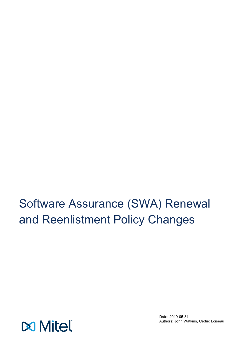Software Assurance (SWA) Renewal and Reenlistment Policy Changes



Date: 2019-05-31 Authors: John Watkins, Cedric Loiseau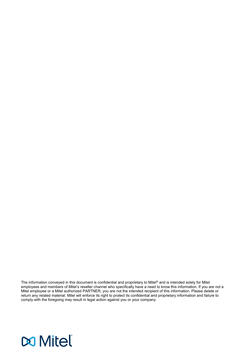The information conveyed in this document is confidential and proprietary to Mitel® and is intended solely for Mitel employees and members of Mitel's reseller channel who specifically have a need to know this information. If you are not a Mitel employee or a Mitel authorized PARTNER, you are not the intended recipient of this information. Please delete or return any related material. Mitel will enforce its right to protect its confidential and proprietary information and failure to comply with the foregoing may result in legal action against you or your company.

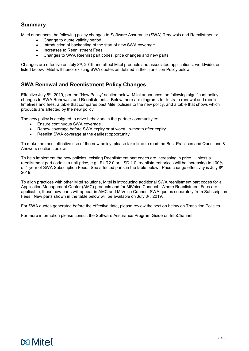# **Summary**

Mitel announces the following policy changes to Software Assurance (SWA) Renewals and Reenlistments:

- Change to quote validity period
- Introduction of backdating of the start of new SWA coverage
- Increases to Reenlistment Fees.
- Changes to SWA Reenlist part codes: price changes and new parts.

Changes are effective on July  $8<sup>th</sup>$ , 2019 and affect Mitel products and associated applications, worldwide, as listed below. Mitel will honor existing SWA quotes as defined in the Transition Policy below.

## **SWA Renewal and Reenlistment Policy Changes**

Effective July  $8<sup>th</sup>$ , 2019, per the "New Policy" section below, Mitel announces the following significant policy changes to SWA Renewals and Reenlistments. Below there are diagrams to illustrate renewal and reenlist timelines and fees, a table that compares past Mitel policies to the new policy, and a table that shows which products are affected by the new policy.

The new policy is designed to drive behaviors in the partner community to:

- Ensure continuous SWA coverage
- Renew coverage before SWA expiry or at worst, in-month after expiry
- Reenlist SWA coverage at the earliest opportunity

To make the most effective use of the new policy, please take time to read the Best Practices and Questions & Answers sections below.

To help implement the new policies, existing Reenlistment part codes are increasing in price. Unless a reenlistment part code is a unit price, e.g., EUR2.0 or USD 1.0, reenlistment prices will be increasing to 100% of 1 year of SWA Subscription Fees. See affected parts in the table below. Price change effectivity is July 8th, 2019.

To align practices with other Mitel solutions, Mitel is introducing additional SWA reenlistment part codes for all Application Management Center (AMC) products and for MiVoice Connect. Where Reenlistment Fees are applicable, these new parts will appear in AMC and MiVoice Connect SWA quotes separately from Subscription Fees. New parts shown in the table below will be available on July 8<sup>th</sup>, 2019.

For SWA quotes generated before the effective date, please review the section below on Transition Policies.

For more information please consult the Software Assurance Program Guide on InfoChannel.

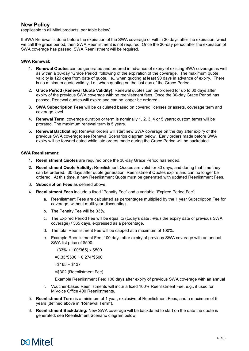## **New Policy**

(applicable to all Mitel products, per table below)

If SWA Renewal is done before the expiration of the SWA coverage or within 30 days after the expiration, which we call the grace period, then SWA Reenlistment is not required. Once the 30-day period after the expiration of SWA coverage has passed, SWA Reenlistment will be required.

## **SWA Renewal:**

- 1. **Renewal Quotes** can be generated and ordered in advance of expiry of existing SWA coverage as well as within a 30-day "Grace Period" following of the expiration of the coverage. The maximum quote validity is 120 days from date of quote, i.e., when quoting at least 90 days in advance of expiry. There is no minimum quote validity, i.e., when quoting on the last day of the Grace Period.
- 2. **Grace Period (Renewal Quote Validity)**: Renewal quotes can be ordered for up to 30 days after expiry of the previous SWA coverage with no reenlistment fees. Once the 30-day Grace Period has passed, Renewal quotes will expire and can no longer be ordered.
- 3. **SWA Subscription Fees** will be calculated based on covered licenses or assets, coverage term and coverage level.
- 4. **Renewal Term**: coverage duration or term is nominally 1, 2, 3, 4 or 5 years; custom terms will be prorated. The maximum renewal term is 5 years.
- 5. **Renewal Backdating**: Renewal orders will start new SWA coverage on the day after expiry of the previous SWA coverage: see Renewal Scenarios diagram below. Early orders made before SWA expiry will be forward dated while late orders made during the Grace Period will be backdated.

### **SWA Reenlistment:**

- 1. **Reenlistment Quotes** are required once the 30-day Grace Period has ended.
- **2. Reenlistment Quote Validity:** Reenlistment Quotes are valid for 30 days, and during that time they can be ordered. 30 days after quote generation, Reenlistment Quotes expire and can no longer be ordered. At this time, a new Reenlistment Quote must be generated with updated Reenlistment Fees.
- 3. **Subscription Fees** as defined above.
- 4. **Reenlistment Fees** include a fixed "Penalty Fee" and a variable "Expired Period Fee":
	- a. Reenlistment Fees are calculated as percentages multiplied by the 1 year Subscription Fee for coverage, without multi-year discounting.
	- b. The Penalty Fee will be 33%.
	- c. The Expired Period Fee will be equal to (today's date *minus* the expiry date of previous SWA coverage) / 365 days, expressed as a percentage.
	- d. The total Reenlistment Fee will be capped at a maximum of 100%.
	- e. Example Reenlistment Fee: 100 days after expiry of previous SWA coverage with an annual SWA list price of \$500:

(33% + 100/365) x \$500

=0.33\*\$500 + 0.274\*\$500

 $=$ \$165 + \$137

=\$302 (Reenlistment Fee)

Example Reenlistment Fee: 100 days after expiry of previous SWA coverage with an annual

- f. Voucher-based Reenlistments will incur a fixed 100% Reenlistment Fee, e.g., if used for MiVoice Office 400 Reenlistments.
- 5. **Reenlistment Term** is a minimum of 1 year, exclusive of Reenlistment Fees, and a maximum of 5 years (defined above in "Renewal Term").
- 6. **Reenlistment Backdating:** New SWA coverage will be backdated to start on the date the quote is generated: see Reenlistment Scenario diagram below.

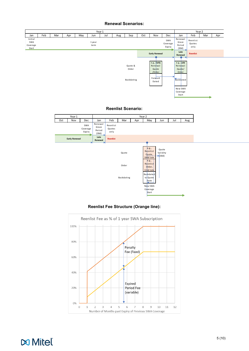## **Renewal Scenarios:**



## **Reenlist Scenario:**



## **Reenlist Fee Structure (Orange line):**



**Do Mitel**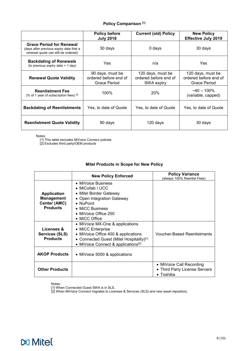## **Policy Comparison [1]**

|                                                                                                                   | <b>Policy before</b><br><b>July 2018</b>                  | <b>Current (old) Policy</b>                              | <b>New Policy</b><br><b>Effective July 2019</b>            |
|-------------------------------------------------------------------------------------------------------------------|-----------------------------------------------------------|----------------------------------------------------------|------------------------------------------------------------|
| <b>Grace Period for Renewal</b><br>(days after previous expiry date that a<br>renewal quote can still be ordered) | 30 days                                                   | 0 days                                                   | 30 days                                                    |
| <b>Backdating of Renewals</b><br>(to previous expiry date + 1 day)                                                | Yes                                                       | n/a                                                      | Yes                                                        |
| <b>Renewal Quote Validity</b>                                                                                     | 90 days, must be<br>ordered before end of<br>Grace Period | 120 days, must be<br>ordered before end of<br>SWA expiry | 120 days, must be<br>ordered before end of<br>Grace Period |
| <b>Reenlistment Fee</b><br>(% of 1 year of subscription fees) $[2]$                                               | 100%                                                      | 20%                                                      | $-40 - 100\%$<br>(variable, capped)                        |
| <b>Backdating of Reenlistments</b><br>Yes, to date of Quote                                                       |                                                           | Yes, to date of Quote                                    | Yes, to date of Quote                                      |
| <b>Reenlistment Quote Validity</b>                                                                                | 90 days                                                   | 120 days                                                 | 30 days                                                    |

Notes:

[1] This table excludes MiVoice Connect policies

[2] Excludes third party/OEM products

## **Mitel Products in Scope for New Policy**

|                                                                                   | <b>New Policy Enforced</b>                                                                                                                                                                 | <b>Policy Variance</b><br>(always 100% Reenlist Fees)                          |
|-----------------------------------------------------------------------------------|--------------------------------------------------------------------------------------------------------------------------------------------------------------------------------------------|--------------------------------------------------------------------------------|
| <b>Application</b><br><b>Management</b><br><b>Center (AMC)</b><br><b>Products</b> | • MiVoice Business<br>• MiCollab / UCC<br>• Mitel Border Gateway<br>• Open Integration Gateway<br>$\bullet$ NuPoint<br>• MiCC Business<br>• MiVoice Office 250<br>• MiCC Office            |                                                                                |
| Licenses &<br><b>Services (SLS)</b><br><b>Products</b>                            | • MiVoice MX-One & applications<br>• MiCC Enterprise<br>• MiVoice Office 400 & applications<br>• Connected Guest (Mitel Hospitality)[1]<br>• MiVoice Connect & applications <sup>[2]</sup> | <b>Voucher-Based Reenlistments</b>                                             |
| <b>AKOP Products</b>                                                              | • MiVoice 5000 & applications                                                                                                                                                              |                                                                                |
| <b>Other Products</b>                                                             |                                                                                                                                                                                            | • MiVoice Call Recording<br>• Third Party License Servers<br>$\bullet$ Toshiba |

Notes:

[1] When Connected Guest SWA is in SLS.

[2] When MiVoice Connect migrates to Licenses & Services (SLS) and new asset repository.

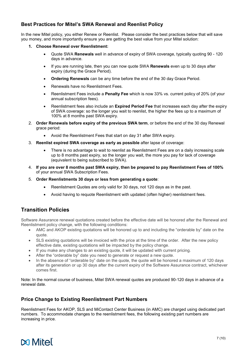# **Best Practices for Mitel's SWA Renewal and Reenlist Policy**

In the new Mitel policy, you either Renew or Reenlist. Please consider the best practices below that will save you money, and more importantly ensure you are getting the best value from your Mitel solution:

- **1. Choose Renewal over Reenlistment:**
	- Quote SWA **Renewals** well in advance of expiry of SWA coverage, typically quoting 90 120 days in advance.
	- If you are running late, then you can now quote SWA **Renewals** even up to 30 days after expiry (during the Grace Period).
	- **Ordering Renewals** can be any time before the end of the 30 day Grace Period.
	- Renewals have no Reenlistment Fees.
	- Reenlistment Fees include a **Penalty Fee** which is now 33% vs. current policy of 20% (of your annual subscription fees).
	- Reenlistment fees also include an **Expired Period Fee** that increases each day after the expiry of SWA coverage: so the longer you wait to reenlist, the higher the fees up to a maximum of 100% at 8 months past SWA expiry.
- 2. **Order Renewals before expiry of the previous SWA term**, or before the end of the 30 day Renewal grace period:
	- Avoid the Reenlistment Fees that start on day 31 after SWA expiry.
- 3. **Reenlist expired SWA coverage as early as possible** after lapse of coverage:
	- There is no advantage to wait to reenlist as Reenlistment Fees are on a daily increasing scale up to 8 months past expiry, so the longer you wait, the more you pay for lack of coverage (equivalent to being subscribed to SWA).
- 4. **If you are over 8 months past SWA expiry, then be prepared to pay Reenlistment Fees of 100%**  of your annual SWA Subscription Fees.
- 5. **Order Reenlistments 30 days or less from generating a quote**:
	- Reenlistment Quotes are only valid for 30 days, not 120 days as in the past.
	- Avoid having to requote Reenlistment with updated (often higher) reenlistment fees.

# **Transition Policies**

Software Assurance renewal quotations created before the effective date will be honored after the Renewal and Reenlistment policy change, with the following conditions:

- AMC and AKOP existing quotations will be honored up to and including the "orderable by" date on the quote.
- SLS existing quotations will be invoiced with the price at the time of the order. After the new policy effective date, existing quotations will be impacted by the policy change.
- If you make any changes to an existing quote, it will be updated with current pricing.
- After the "orderable by" date you need to generate or request a new quote.
- In the absence of "orderable by" date on the quote, the quote will be honored a maximum of 120 days after its generation or up 30 days after the current expiry of the Software Assurance contract, whichever comes first.

Note: In the normal course of business, Mitel SWA renewal quotes are produced 90-120 days in advance of a renewal date.

## **Price Change to Existing Reenlistment Part Numbers**

Reenlistment Fees for AKOP, SLS and MiContact Center Business (in AMC) are charged using dedicated part numbers. To accommodate changes to the reenlistment fees, the following existing part numbers are increasing in price.

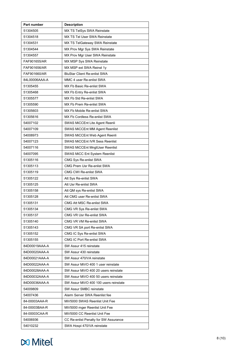| Part number   | <b>Description</b>                    |  |
|---------------|---------------------------------------|--|
| 51304505      | MX TS TelSys SWA Reinstate            |  |
| 51304518      | MX TS Tel User SWA Reinstate          |  |
| 51304531      | MX TS TelGateway SWA Reinstate        |  |
| 51304544      | MX Prov Mgr Sys SWA Reinstate         |  |
| 51304557      | MX Prov Mgr User SWA Reinstate        |  |
| FAF901655/AR  | MX MSP Sys SWA Reinstate              |  |
| FAF901656/AR  | MX MSP ext SWA Reinst 1y              |  |
| FAF901660/AR  | <b>BluStar Client Re-enlist SWA</b>   |  |
| 84L00006AAA-A | MMC 4 user Re-enlist SWA              |  |
| 51305455      | MX Fb Basic Re-enlist SWA             |  |
| 51305468      | MX Fb Entry Re-enlist SWA             |  |
| 51305577      | MX Fb Std Re-enlist SWA               |  |
| 51305590      | MX Fb Prem Re-enlist SWA              |  |
| 51305603      | MX Fb Mobile Re-enlist SWA            |  |
| 51305616      | MX Fb Cordless Re-enlist SWA          |  |
| 54007102      | SWAS MiCCEnt Lite Agent Reenli        |  |
| 54007109      | <b>SWAS MiCCEnt MM Agent Reenlist</b> |  |
| 54008973      | SWAS MiCCEnt Web Agent Reenli         |  |
| 54007123      | <b>SWAS MiCCEnt IVR Sess Reenlist</b> |  |
| 54007116      | SWAS MiCCEnt MngtUser Reenlist        |  |
| 54007095      | SWAS MiCC Ent System Reenlist         |  |
| 51305116      | CMG Sys Re-enlist SWA                 |  |
| 51305113      | CMG Prem Usr Re-enlist SWA            |  |
| 51305119      | CMG CWI Re-enlist SWA                 |  |
| 51305122      | Att Sys Re-enlist SWA                 |  |
| 51305125      | Att Usr Re-enlist SWA                 |  |
| 51305158      | Att QM sys Re-enlist SWA              |  |
| 51305128      | Att CMG user Re-enlist SWA            |  |
| 51305131      | CMG Att MSC Re-enlist SWA             |  |
| 51305134      | CMG VR Sys Re-enlist SWA              |  |
| 51305137      | CMG VR Usr Re-enlist SWA              |  |
| 51305140      | CMG VR VM Re-enlist SWA               |  |
| 51305143      | CMG VR SA port Re-enlist SWA          |  |
| 51305152      | CMG IC Sys Re-enlist SWA              |  |
| 51305155      | CMG IC Port Re-enlist SWA             |  |
| 84D00019AAA-A | SW Assur 415 reinstate                |  |
| 84D00020AAA-A | SW Assur 430 reinstate                |  |
| 84D00021AAA-A | SW Assur 470/VA reinstate             |  |
| 84D00022AAA-A | SW Assur MiVO 400 1 user reinstate    |  |
| 84D00028AAA-A | SW Assur MiVO 400 20 users reinstate  |  |
| 84D00032AAA-A | SW Assur MiVO 400 50 users reinstate  |  |
| 84D00036AAA-A | SW Assur MiVO 400 100 users reinstate |  |
| 54009809      | SW Assur SMBC reinstate               |  |
| 54007436      | Alarm Server SWA Reenlist fee         |  |
| 84-00003AAA-R | MiV5000 SWAS Reenlist Unit Fee        |  |
| 84-00003BAA-R | MiV5000 mger Reenlist Unit Fee        |  |
| 84-00003CAA-R | MiV5000 CC Reenlist Unit Fee          |  |
| 54006936      | CC Re-enlist Penalty for SW Assurance |  |
| 54010232      | SWA Hospi 470/VA reinstate            |  |

# **x** Mitel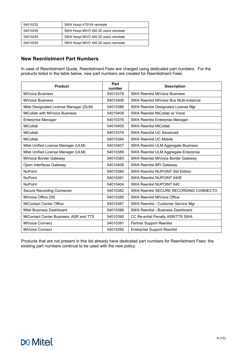| 54010232 | SWA Hospi 470/VA reinstate            |
|----------|---------------------------------------|
| 54010245 | SWA Hospi MiVO 400 20 users reinstate |
| 54010245 | SWA Hospi MiVO 400 20 users reinstate |
| 54010245 | SWA Hospi MiVO 400 20 users reinstate |

## **New Reenlistment Part Numbers**

In case of Reenlistment Quote, Reenlistment Fees are charged using dedicated part numbers. For the products listed in the table below, new part numbers are created for Reenlistment Fees:

| <b>Product</b>                         | Part<br>number | <b>Description</b>                      |
|----------------------------------------|----------------|-----------------------------------------|
| <b>MiVoice Business</b>                | 54010378       | <b>SWA Reenlist MiVoice Business</b>    |
| <b>MiVoice Business</b>                | 54010406       | SWA Reenlist MiVoice Bus Multi-Instance |
| Mitel Designated License Manager (DLM) | 54010386       | SWA Reenlist Designated License Mgr     |
| MiCollab with MiVoice Business         | 54010409       | SWA Reenlist MiCollab w/ Voice          |
| <b>Enterprise Manager</b>              | 54010376       | SWA Reenlist Enterprise Manager         |
| MiCollab                               | 54010405       | <b>SWA Reenlist MiCollab</b>            |
| MiCollab                               | 54010379       | <b>SWA Reenlist UC Advanced</b>         |
| MiCollab                               | 54010384       | <b>SWA Reenlist UC Mobile</b>           |
| Mitel Unified License Manager (ULM)    | 54010407       | SWA Reenlist ULM Aggregate Business     |
| Mitel Unified License Manager (ULM)    | 54010389       | SWA Reenlist ULM Aggregate Enterprise   |
| MiVoice Border Gateway                 | 54010383       | SWA Reenlist MiVoice Border Gateway     |
| Open Interfaces Gateway                | 54010408       | SWA Reenlist BPI Gateway                |
| <b>NuPoint</b>                         | 54010380       | <b>SWA Reenlist NUPOINT Std Edition</b> |
| <b>NuPoint</b>                         | 54010381       | SWA Reenlist NUPOINT 640E               |
| <b>NuPoint</b>                         | 54010404       | SWA Reenlist NUPOINT 640                |
| <b>Secure Recording Connector</b>      | 54010382       | SWA Reenlist SECURE RECORDING CONNECTO  |
| MiVoice Office 250                     | 54010385       | SWA Reenlist MiVoice Office             |
| <b>MiContact Center Office</b>         | 54010387       | SWA Reenlist - Customer Service Mgr     |
| Mitel Business Dashboard               | 54010388       | SWA Reenlist - Business Dashboard       |
| MiContact Center Business: ASR and TTS | 54010390       | CC Re-enlist Penalty ASR/TTS SWA        |
| MiVoice Connect                        | 54010391       | <b>Partner Support Reenlist</b>         |
| MiVoice Connect                        | 54010392       | <b>Enterprise Support Reenlist</b>      |

Products that are not present in this list already have dedicated part numbers for Reenlistment Fees: the existing part numbers continue to be used with the new policy.